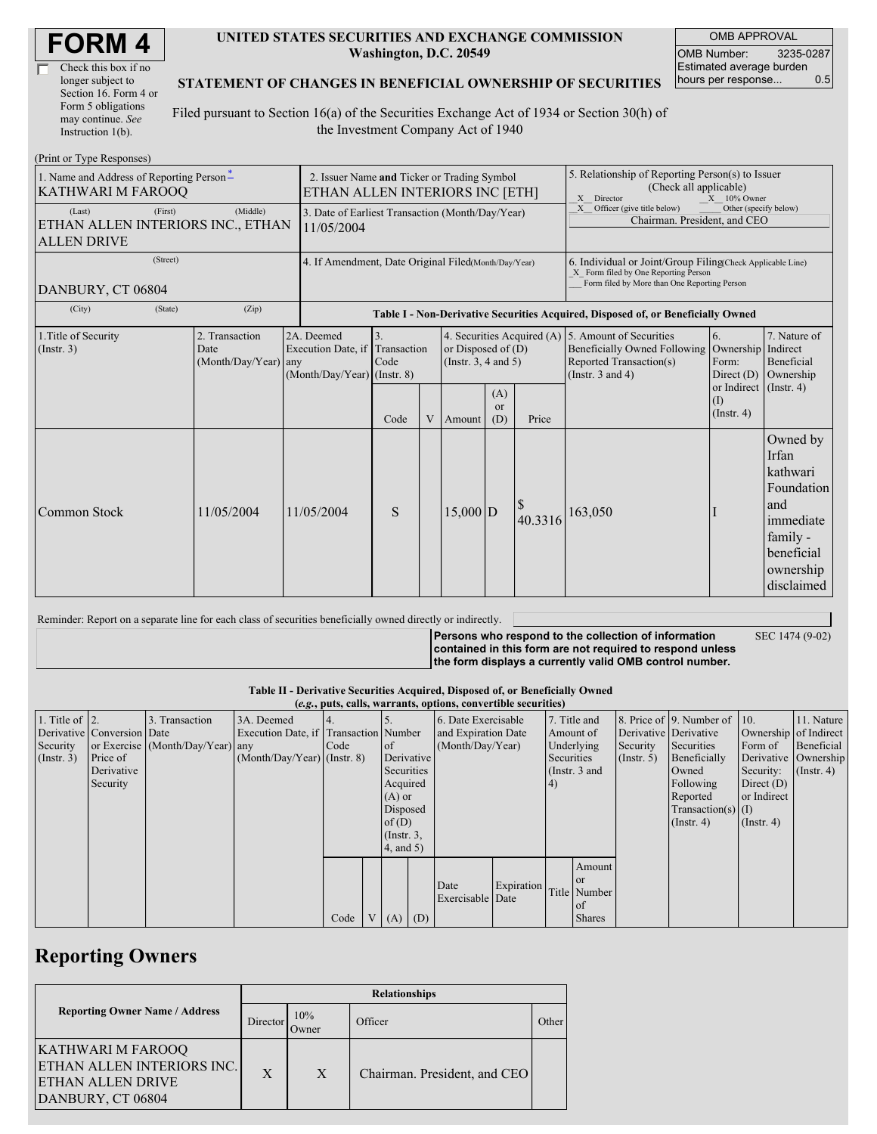| Check this box if no  |
|-----------------------|
| longer subject to     |
| Section 16. Form 4 or |
| Form 5 obligations    |
| may continue. See     |
| Instruction 1(b).     |

 $(Drint or Trma D)$ 

#### **UNITED STATES SECURITIES AND EXCHANGE COMMISSION Washington, D.C. 20549**

OMB APPROVAL OMB Number: 3235-0287 Estimated average burden hours per response... 0.5

### **STATEMENT OF CHANGES IN BENEFICIAL OWNERSHIP OF SECURITIES**

Filed pursuant to Section 16(a) of the Securities Exchange Act of 1934 or Section 30(h) of the Investment Company Act of 1940

| THING TYPE RESPONSES<br>1. Name and Address of Reporting Person-<br><b>KATHWARI M FAROOQ</b> |                                               | 2. Issuer Name and Ticker or Trading Symbol<br>ETHAN ALLEN INTERIORS INC [ETH]       |                                                                                  |                                                                |                                                                                                        |                             | 5. Relationship of Reporting Person(s) to Issuer<br>(Check all applicable)<br>X Director<br>$X = 10\%$ Owner                                       |                                                                                  |                                                                                       |                                                                                                                      |  |
|----------------------------------------------------------------------------------------------|-----------------------------------------------|--------------------------------------------------------------------------------------|----------------------------------------------------------------------------------|----------------------------------------------------------------|--------------------------------------------------------------------------------------------------------|-----------------------------|----------------------------------------------------------------------------------------------------------------------------------------------------|----------------------------------------------------------------------------------|---------------------------------------------------------------------------------------|----------------------------------------------------------------------------------------------------------------------|--|
| (First)<br>(Last)<br><b>ALLEN DRIVE</b>                                                      | (Middle)<br>ETHAN ALLEN INTERIORS INC., ETHAN |                                                                                      |                                                                                  | 3. Date of Earliest Transaction (Month/Day/Year)<br>11/05/2004 |                                                                                                        |                             |                                                                                                                                                    |                                                                                  | X Officer (give title below)<br>Other (specify below)<br>Chairman. President, and CEO |                                                                                                                      |  |
| (Street)<br>DANBURY, CT 06804                                                                |                                               | 4. If Amendment, Date Original Filed(Month/Day/Year)                                 |                                                                                  |                                                                |                                                                                                        |                             | 6. Individual or Joint/Group Filing(Check Applicable Line)<br>X Form filed by One Reporting Person<br>Form filed by More than One Reporting Person |                                                                                  |                                                                                       |                                                                                                                      |  |
| (City)<br>(State)                                                                            | (Zip)                                         |                                                                                      | Table I - Non-Derivative Securities Acquired, Disposed of, or Beneficially Owned |                                                                |                                                                                                        |                             |                                                                                                                                                    |                                                                                  |                                                                                       |                                                                                                                      |  |
| 1. Title of Security<br>(Insert. 3)                                                          | 2. Transaction<br>Date<br>(Month/Day/Year)    | 2A. Deemed<br>Execution Date, if Transaction<br>any<br>$(Month/Day/Year)$ (Instr. 8) | 3.<br>Code                                                                       |                                                                | 4. Securities Acquired (A) 5. Amount of Securities<br>or Disposed of $(D)$<br>(Instr. $3, 4$ and $5$ ) |                             |                                                                                                                                                    | Beneficially Owned Following<br>Reported Transaction(s)<br>(Instr. $3$ and $4$ ) | 6.<br>Ownership Indirect<br>Form:<br>Direct $(D)$                                     | 7. Nature of<br>Beneficial<br>Ownership                                                                              |  |
|                                                                                              |                                               |                                                                                      | Code                                                                             |                                                                | V Amount                                                                                               | (A)<br><sub>or</sub><br>(D) | Price                                                                                                                                              |                                                                                  | or Indirect (Instr. 4)<br>$\rm(1)$<br>$($ Instr. 4 $)$                                |                                                                                                                      |  |
| Common Stock                                                                                 | 11/05/2004                                    | 11/05/2004                                                                           | S                                                                                |                                                                | $15,000$ D                                                                                             |                             | 40.3316                                                                                                                                            | 163,050                                                                          |                                                                                       | Owned by<br>Irfan<br>kathwari<br>Foundation<br>and<br>immediate<br>family -<br>beneficial<br>ownership<br>disclaimed |  |

Reminder: Report on a separate line for each class of securities beneficially owned directly or indirectly.

**Persons who respond to the collection of information contained in this form are not required to respond unless the form displays a currently valid OMB control number.**

SEC 1474 (9-02)

#### **Table II - Derivative Securities Acquired, Disposed of, or Beneficially Owned**

**(***e.g.***, puts, calls, warrants, options, convertible securities)** 1. Title of Derivative Security (Instr. 3) 2. Conversion or Exercise Price of Derivative Security 3. Transaction Date (Month/Day/Year) any 3A. Deemed Execution Date, if (Month/Day/Year) (Instr. 8) 4. Transaction Code 5. Number of Derivative Securities Acquired (A) or Disposed of  $(D)$ (Instr. 3, 4, and 5) 6. Date Exercisable and Expiration Date (Month/Day/Year) 7. Title and Amount of Underlying Securities (Instr. 3 and 4) 8. Price of 9. Number of Derivative Security (Instr. 5) Derivative Securities Beneficially Owned Following Reported Transaction(s) (Instr. 4) 10. Ownership Form of Derivative Security: Direct (D) or Indirect (I) (Instr. 4) 11. Nature of Indirect Beneficial Ownership (Instr. 4) Code  $V(A)$  (D) Date Exercisable Expiration Date Title Amount or Number of Shares

## **Reporting Owners**

|                                                                                                  | <b>Relationships</b> |                 |                              |       |  |  |  |
|--------------------------------------------------------------------------------------------------|----------------------|-----------------|------------------------------|-------|--|--|--|
| <b>Reporting Owner Name / Address</b>                                                            | Director             | 10%<br><b>T</b> | Officer                      | Other |  |  |  |
| KATHWARI M FAROOO<br>ETHAN ALLEN INTERIORS INC.<br><b>ETHAN ALLEN DRIVE</b><br>DANBURY, CT 06804 | X                    | X               | Chairman. President, and CEO |       |  |  |  |